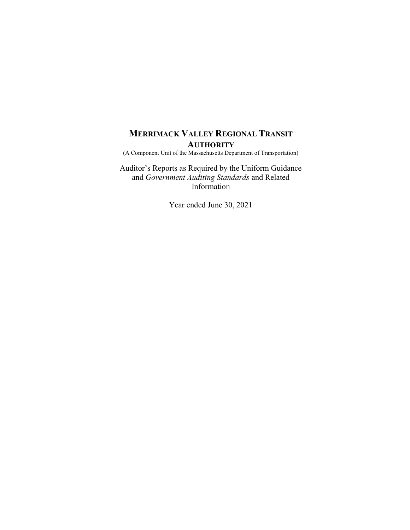(A Component Unit of the Massachusetts Department of Transportation)

Auditor's Reports as Required by the Uniform Guidance and Government Auditing Standards and Related Information

Year ended June 30, 2021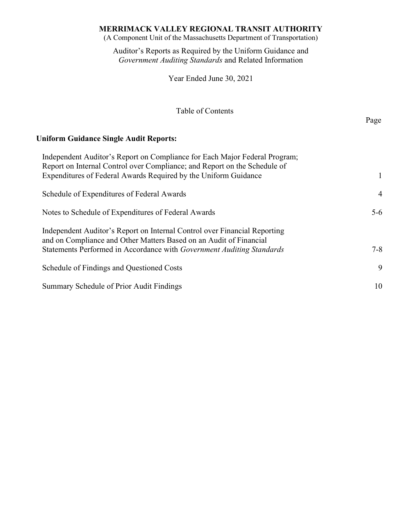(A Component Unit of the Massachusetts Department of Transportation)

Auditor's Reports as Required by the Uniform Guidance and Government Auditing Standards and Related Information

Year Ended June 30, 2021

# Table of Contents

Page **Page** 

# Uniform Guidance Single Audit Reports:

| Independent Auditor's Report on Compliance for Each Major Federal Program;<br>Report on Internal Control over Compliance; and Report on the Schedule of<br>Expenditures of Federal Awards Required by the Uniform Guidance | 1              |
|----------------------------------------------------------------------------------------------------------------------------------------------------------------------------------------------------------------------------|----------------|
|                                                                                                                                                                                                                            |                |
| Schedule of Expenditures of Federal Awards                                                                                                                                                                                 | $\overline{4}$ |
| Notes to Schedule of Expenditures of Federal Awards                                                                                                                                                                        | $5 - 6$        |
| Independent Auditor's Report on Internal Control over Financial Reporting<br>and on Compliance and Other Matters Based on an Audit of Financial                                                                            |                |
| Statements Performed in Accordance with Government Auditing Standards                                                                                                                                                      | $7 - 8$        |
| Schedule of Findings and Questioned Costs                                                                                                                                                                                  | 9              |
| Summary Schedule of Prior Audit Findings                                                                                                                                                                                   | 10             |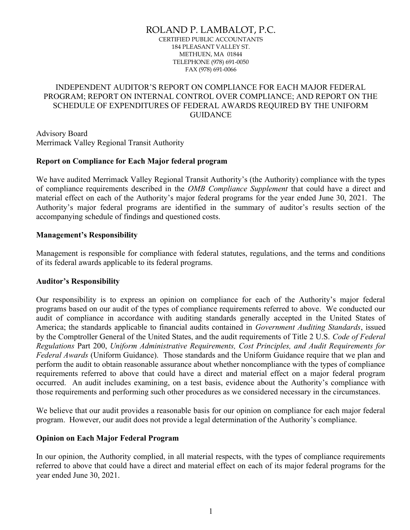# ROLAND P. LAMBALOT, P.C.

CERTIFIED PUBLIC ACCOUNTANTS 184 PLEASANT VALLEY ST. METHUEN, MA 01844 TELEPHONE (978) 691-0050 FAX (978) 691-0066

# INDEPENDENT AUDITOR'S REPORT ON COMPLIANCE FOR EACH MAJOR FEDERAL PROGRAM; REPORT ON INTERNAL CONTROL OVER COMPLIANCE; AND REPORT ON THE SCHEDULE OF EXPENDITURES OF FEDERAL AWARDS REQUIRED BY THE UNIFORM **GUIDANCE**

Advisory Board Merrimack Valley Regional Transit Authority

### Report on Compliance for Each Major federal program

We have audited Merrimack Valley Regional Transit Authority's (the Authority) compliance with the types of compliance requirements described in the OMB Compliance Supplement that could have a direct and material effect on each of the Authority's major federal programs for the year ended June 30, 2021. The Authority's major federal programs are identified in the summary of auditor's results section of the accompanying schedule of findings and questioned costs.

## Management's Responsibility

Management is responsible for compliance with federal statutes, regulations, and the terms and conditions of its federal awards applicable to its federal programs.

### Auditor's Responsibility

Our responsibility is to express an opinion on compliance for each of the Authority's major federal programs based on our audit of the types of compliance requirements referred to above. We conducted our audit of compliance in accordance with auditing standards generally accepted in the United States of America; the standards applicable to financial audits contained in Government Auditing Standards, issued by the Comptroller General of the United States, and the audit requirements of Title 2 U.S. Code of Federal Regulations Part 200, Uniform Administrative Requirements, Cost Principles, and Audit Requirements for Federal Awards (Uniform Guidance). Those standards and the Uniform Guidance require that we plan and perform the audit to obtain reasonable assurance about whether noncompliance with the types of compliance requirements referred to above that could have a direct and material effect on a major federal program occurred. An audit includes examining, on a test basis, evidence about the Authority's compliance with those requirements and performing such other procedures as we considered necessary in the circumstances.

We believe that our audit provides a reasonable basis for our opinion on compliance for each major federal program. However, our audit does not provide a legal determination of the Authority's compliance.

## Opinion on Each Major Federal Program

In our opinion, the Authority complied, in all material respects, with the types of compliance requirements referred to above that could have a direct and material effect on each of its major federal programs for the year ended June 30, 2021.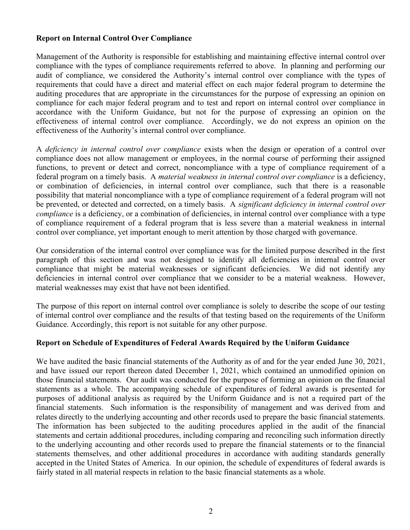# Report on Internal Control Over Compliance

Management of the Authority is responsible for establishing and maintaining effective internal control over compliance with the types of compliance requirements referred to above. In planning and performing our audit of compliance, we considered the Authority's internal control over compliance with the types of requirements that could have a direct and material effect on each major federal program to determine the auditing procedures that are appropriate in the circumstances for the purpose of expressing an opinion on compliance for each major federal program and to test and report on internal control over compliance in accordance with the Uniform Guidance, but not for the purpose of expressing an opinion on the effectiveness of internal control over compliance. Accordingly, we do not express an opinion on the effectiveness of the Authority's internal control over compliance.

A deficiency in internal control over compliance exists when the design or operation of a control over compliance does not allow management or employees, in the normal course of performing their assigned functions, to prevent or detect and correct, noncompliance with a type of compliance requirement of a federal program on a timely basis. A material weakness in internal control over compliance is a deficiency, or combination of deficiencies, in internal control over compliance, such that there is a reasonable possibility that material noncompliance with a type of compliance requirement of a federal program will not be prevented, or detected and corrected, on a timely basis. A significant deficiency in internal control over compliance is a deficiency, or a combination of deficiencies, in internal control over compliance with a type of compliance requirement of a federal program that is less severe than a material weakness in internal control over compliance, yet important enough to merit attention by those charged with governance.

Our consideration of the internal control over compliance was for the limited purpose described in the first paragraph of this section and was not designed to identify all deficiencies in internal control over compliance that might be material weaknesses or significant deficiencies. We did not identify any deficiencies in internal control over compliance that we consider to be a material weakness. However, material weaknesses may exist that have not been identified.

The purpose of this report on internal control over compliance is solely to describe the scope of our testing of internal control over compliance and the results of that testing based on the requirements of the Uniform Guidance. Accordingly, this report is not suitable for any other purpose.

## Report on Schedule of Expenditures of Federal Awards Required by the Uniform Guidance

We have audited the basic financial statements of the Authority as of and for the year ended June 30, 2021, and have issued our report thereon dated December 1, 2021, which contained an unmodified opinion on those financial statements. Our audit was conducted for the purpose of forming an opinion on the financial statements as a whole. The accompanying schedule of expenditures of federal awards is presented for purposes of additional analysis as required by the Uniform Guidance and is not a required part of the financial statements. Such information is the responsibility of management and was derived from and relates directly to the underlying accounting and other records used to prepare the basic financial statements. The information has been subjected to the auditing procedures applied in the audit of the financial statements and certain additional procedures, including comparing and reconciling such information directly to the underlying accounting and other records used to prepare the financial statements or to the financial statements themselves, and other additional procedures in accordance with auditing standards generally accepted in the United States of America. In our opinion, the schedule of expenditures of federal awards is fairly stated in all material respects in relation to the basic financial statements as a whole.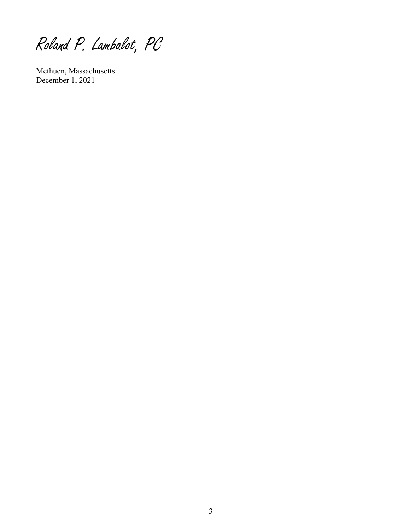Roland P. Lambalot, PC

Methuen, Massachusetts December 1, 2021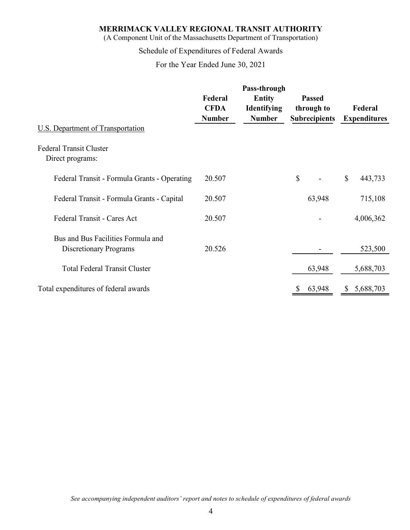| MERRIMACK VALLEY REGIONAL TRANSIT AUTHORITY<br>(A Component Unit of the Massachusetts Department of Transportation)<br>Schedule of Expenditures of Federal Awards<br>For the Year Ended June 30, 2021 |                                         |                                                        |                                                     |                                |  |
|-------------------------------------------------------------------------------------------------------------------------------------------------------------------------------------------------------|-----------------------------------------|--------------------------------------------------------|-----------------------------------------------------|--------------------------------|--|
|                                                                                                                                                                                                       |                                         |                                                        |                                                     |                                |  |
|                                                                                                                                                                                                       | Federal<br><b>CFDA</b><br><b>Number</b> | Pass-through<br>Entity<br>Identifying<br><b>Number</b> | <b>Passed</b><br>through to<br><b>Subrecipients</b> | Federal<br><b>Expenditures</b> |  |
| <b>U.S. Department of Transportation</b>                                                                                                                                                              |                                         |                                                        |                                                     |                                |  |
| <b>Federal Transit Cluster</b><br>Direct programs:                                                                                                                                                    |                                         |                                                        |                                                     |                                |  |
| Federal Transit - Formula Grants - Operating                                                                                                                                                          | 20.507                                  |                                                        | $\boldsymbol{\mathsf{S}}$                           | $\mathbb{S}$<br>443,733        |  |
| Federal Transit - Formula Grants - Capital                                                                                                                                                            | 20.507                                  |                                                        | 63,948                                              | 715,108                        |  |
| Federal Transit - Cares Act                                                                                                                                                                           | 20.507                                  |                                                        |                                                     | 4,006,362                      |  |
| Bus and Bus Facilities Formula and<br>Discretionary Programs                                                                                                                                          | 20.526                                  |                                                        |                                                     | 523,500                        |  |
| <b>Total Federal Transit Cluster</b>                                                                                                                                                                  |                                         |                                                        | 63,948                                              | 5,688,703                      |  |
| Total expenditures of federal awards                                                                                                                                                                  |                                         |                                                        | 63,948                                              | \$5,688,703                    |  |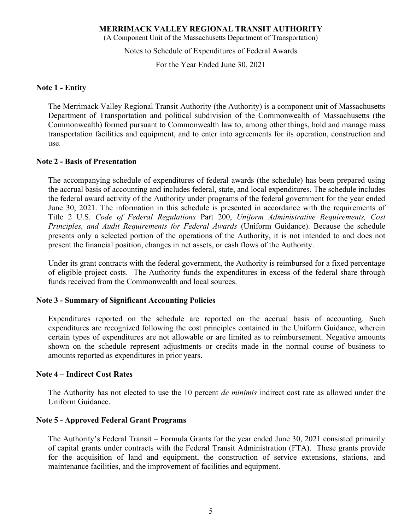(A Component Unit of the Massachusetts Department of Transportation)

Notes to Schedule of Expenditures of Federal Awards

For the Year Ended June 30, 2021

### Note 1 - Entity

The Merrimack Valley Regional Transit Authority (the Authority) is a component unit of Massachusetts Department of Transportation and political subdivision of the Commonwealth of Massachusetts (the Commonwealth) formed pursuant to Commonwealth law to, among other things, hold and manage mass transportation facilities and equipment, and to enter into agreements for its operation, construction and use.

### Note 2 - Basis of Presentation

The accompanying schedule of expenditures of federal awards (the schedule) has been prepared using the accrual basis of accounting and includes federal, state, and local expenditures. The schedule includes the federal award activity of the Authority under programs of the federal government for the year ended June 30, 2021. The information in this schedule is presented in accordance with the requirements of Title 2 U.S. Code of Federal Regulations Part 200, Uniform Administrative Requirements, Cost Principles, and Audit Requirements for Federal Awards (Uniform Guidance). Because the schedule presents only a selected portion of the operations of the Authority, it is not intended to and does not present the financial position, changes in net assets, or cash flows of the Authority.

Under its grant contracts with the federal government, the Authority is reimbursed for a fixed percentage of eligible project costs. The Authority funds the expenditures in excess of the federal share through funds received from the Commonwealth and local sources.

### Note 3 - Summary of Significant Accounting Policies

Expenditures reported on the schedule are reported on the accrual basis of accounting. Such expenditures are recognized following the cost principles contained in the Uniform Guidance, wherein certain types of expenditures are not allowable or are limited as to reimbursement. Negative amounts shown on the schedule represent adjustments or credits made in the normal course of business to amounts reported as expenditures in prior years.

### Note 4 – Indirect Cost Rates

The Authority has not elected to use the 10 percent *de minimis* indirect cost rate as allowed under the Uniform Guidance.

#### Note 5 - Approved Federal Grant Programs

The Authority's Federal Transit – Formula Grants for the year ended June 30, 2021 consisted primarily of capital grants under contracts with the Federal Transit Administration (FTA). These grants provide for the acquisition of land and equipment, the construction of service extensions, stations, and maintenance facilities, and the improvement of facilities and equipment.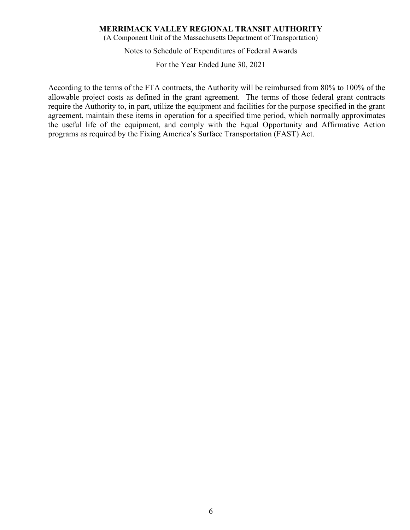(A Component Unit of the Massachusetts Department of Transportation)

Notes to Schedule of Expenditures of Federal Awards

For the Year Ended June 30, 2021

According to the terms of the FTA contracts, the Authority will be reimbursed from 80% to 100% of the allowable project costs as defined in the grant agreement. The terms of those federal grant contracts require the Authority to, in part, utilize the equipment and facilities for the purpose specified in the grant agreement, maintain these items in operation for a specified time period, which normally approximates the useful life of the equipment, and comply with the Equal Opportunity and Affirmative Action programs as required by the Fixing America's Surface Transportation (FAST) Act.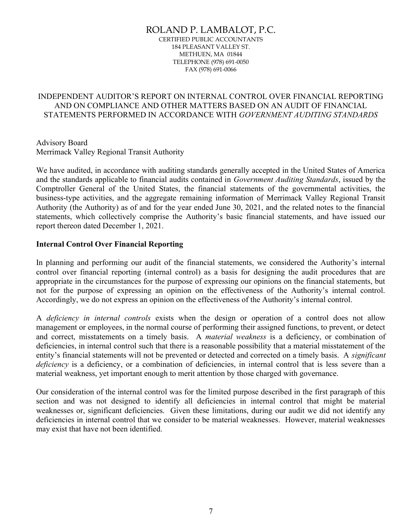#### ROLAND P. LAMBALOT, P.C. CERTIFIED PUBLIC ACCOUNTANTS 184 PLEASANT VALLEY ST. METHUEN, MA 01844 TELEPHONE (978) 691-0050 FAX (978) 691-0066

# INDEPENDENT AUDITOR'S REPORT ON INTERNAL CONTROL OVER FINANCIAL REPORTING AND ON COMPLIANCE AND OTHER MATTERS BASED ON AN AUDIT OF FINANCIAL STATEMENTS PERFORMED IN ACCORDANCE WITH GOVERNMENT AUDITING STANDARDS

Advisory Board Merrimack Valley Regional Transit Authority

We have audited, in accordance with auditing standards generally accepted in the United States of America and the standards applicable to financial audits contained in Government Auditing Standards, issued by the Comptroller General of the United States, the financial statements of the governmental activities, the business-type activities, and the aggregate remaining information of Merrimack Valley Regional Transit Authority (the Authority) as of and for the year ended June 30, 2021, and the related notes to the financial statements, which collectively comprise the Authority's basic financial statements, and have issued our report thereon dated December 1, 2021.

## Internal Control Over Financial Reporting

In planning and performing our audit of the financial statements, we considered the Authority's internal control over financial reporting (internal control) as a basis for designing the audit procedures that are appropriate in the circumstances for the purpose of expressing our opinions on the financial statements, but not for the purpose of expressing an opinion on the effectiveness of the Authority's internal control. Accordingly, we do not express an opinion on the effectiveness of the Authority's internal control.

A deficiency in internal controls exists when the design or operation of a control does not allow management or employees, in the normal course of performing their assigned functions, to prevent, or detect and correct, misstatements on a timely basis. A material weakness is a deficiency, or combination of deficiencies, in internal control such that there is a reasonable possibility that a material misstatement of the entity's financial statements will not be prevented or detected and corrected on a timely basis. A significant deficiency is a deficiency, or a combination of deficiencies, in internal control that is less severe than a material weakness, yet important enough to merit attention by those charged with governance.

Our consideration of the internal control was for the limited purpose described in the first paragraph of this section and was not designed to identify all deficiencies in internal control that might be material weaknesses or, significant deficiencies. Given these limitations, during our audit we did not identify any deficiencies in internal control that we consider to be material weaknesses. However, material weaknesses may exist that have not been identified.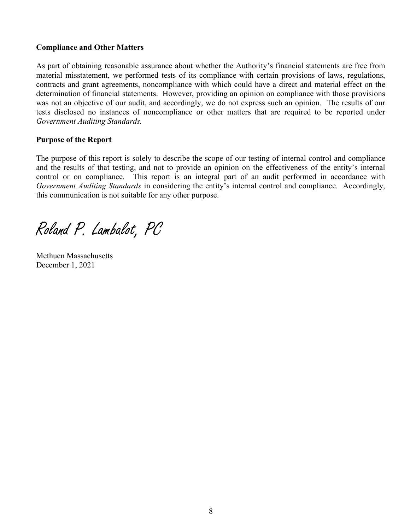# Compliance and Other Matters

As part of obtaining reasonable assurance about whether the Authority's financial statements are free from material misstatement, we performed tests of its compliance with certain provisions of laws, regulations, contracts and grant agreements, noncompliance with which could have a direct and material effect on the determination of financial statements. However, providing an opinion on compliance with those provisions was not an objective of our audit, and accordingly, we do not express such an opinion. The results of our tests disclosed no instances of noncompliance or other matters that are required to be reported under Government Auditing Standards.

# Purpose of the Report

The purpose of this report is solely to describe the scope of our testing of internal control and compliance and the results of that testing, and not to provide an opinion on the effectiveness of the entity's internal control or on compliance. This report is an integral part of an audit performed in accordance with Government Auditing Standards in considering the entity's internal control and compliance. Accordingly, this communication is not suitable for any other purpose.

Roland P. Lambalot, PC

Methuen Massachusetts December 1, 2021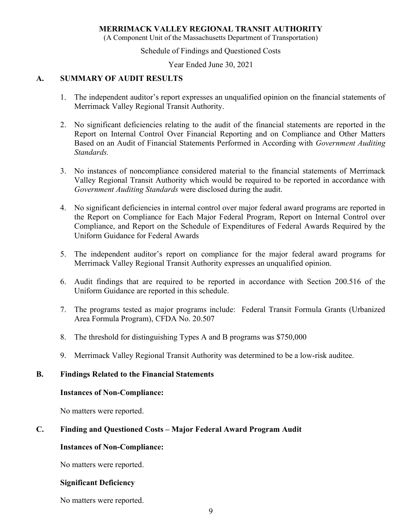(A Component Unit of the Massachusetts Department of Transportation)

Schedule of Findings and Questioned Costs

Year Ended June 30, 2021

### A. SUMMARY OF AUDIT RESULTS

- 1. The independent auditor's report expresses an unqualified opinion on the financial statements of Merrimack Valley Regional Transit Authority.
- 2. No significant deficiencies relating to the audit of the financial statements are reported in the Report on Internal Control Over Financial Reporting and on Compliance and Other Matters Based on an Audit of Financial Statements Performed in According with Government Auditing Standards.
- 3. No instances of noncompliance considered material to the financial statements of Merrimack Valley Regional Transit Authority which would be required to be reported in accordance with Government Auditing Standards were disclosed during the audit.
- 4. No significant deficiencies in internal control over major federal award programs are reported in the Report on Compliance for Each Major Federal Program, Report on Internal Control over Compliance, and Report on the Schedule of Expenditures of Federal Awards Required by the Uniform Guidance for Federal Awards
- 5. The independent auditor's report on compliance for the major federal award programs for Merrimack Valley Regional Transit Authority expresses an unqualified opinion.
- 6. Audit findings that are required to be reported in accordance with Section 200.516 of the Uniform Guidance are reported in this schedule.
- 7. The programs tested as major programs include: Federal Transit Formula Grants (Urbanized Area Formula Program), CFDA No. 20.507
- 8. The threshold for distinguishing Types A and B programs was \$750,000
- 9. Merrimack Valley Regional Transit Authority was determined to be a low-risk auditee.

### B. Findings Related to the Financial Statements

#### Instances of Non-Compliance:

No matters were reported.

### C. Finding and Questioned Costs – Major Federal Award Program Audit

### Instances of Non-Compliance:

No matters were reported.

### Significant Deficiency

No matters were reported.